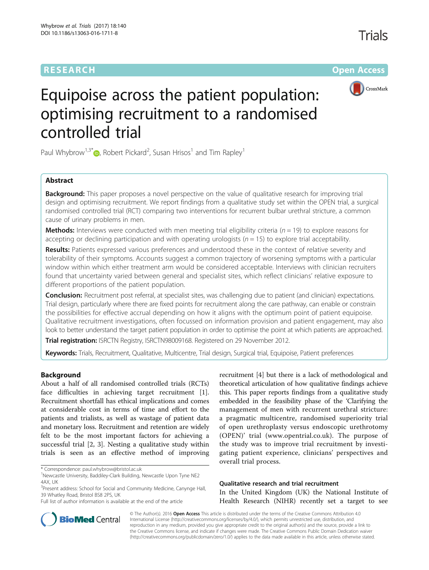# **RESEARCH CHE Open Access**



# Equipoise across the patient population: optimising recruitment to a randomised controlled trial

Paul Whybrow<sup>1,3\*</sup>  $\bullet$ , Robert Pickard<sup>2</sup>, Susan Hrisos<sup>1</sup> and Tim Rapley<sup>1</sup>

## Abstract

**Background:** This paper proposes a novel perspective on the value of qualitative research for improving trial design and optimising recruitment. We report findings from a qualitative study set within the OPEN trial, a surgical randomised controlled trial (RCT) comparing two interventions for recurrent bulbar urethral stricture, a common cause of urinary problems in men.

**Methods:** Interviews were conducted with men meeting trial eligibility criteria ( $n = 19$ ) to explore reasons for accepting or declining participation and with operating urologists ( $n = 15$ ) to explore trial acceptability.

Results: Patients expressed various preferences and understood these in the context of relative severity and tolerability of their symptoms. Accounts suggest a common trajectory of worsening symptoms with a particular window within which either treatment arm would be considered acceptable. Interviews with clinician recruiters found that uncertainty varied between general and specialist sites, which reflect clinicians' relative exposure to different proportions of the patient population.

Conclusion: Recruitment post referral, at specialist sites, was challenging due to patient (and clinician) expectations. Trial design, particularly where there are fixed points for recruitment along the care pathway, can enable or constrain the possibilities for effective accrual depending on how it aligns with the optimum point of patient equipoise. Qualitative recruitment investigations, often focussed on information provision and patient engagement, may also look to better understand the target patient population in order to optimise the point at which patients are approached.

Trial registration: ISRCTN Registry, [ISRCTN98009168](http://www.isrctn.com/ISRCTN98009168). Registered on 29 November 2012.

Keywords: Trials, Recruitment, Qualitative, Multicentre, Trial design, Surgical trial, Equipoise, Patient preferences

### Background

About a half of all randomised controlled trials (RCTs) face difficulties in achieving target recruitment [\[1](#page-10-0)]. Recruitment shortfall has ethical implications and comes at considerable cost in terms of time and effort to the patients and trialists, as well as wastage of patient data and monetary loss. Recruitment and retention are widely felt to be the most important factors for achieving a successful trial [\[2](#page-10-0), [3](#page-10-0)]. Nesting a qualitative study within trials is seen as an effective method of improving

recruitment [[4\]](#page-10-0) but there is a lack of methodological and theoretical articulation of how qualitative findings achieve this. This paper reports findings from a qualitative study embedded in the feasibility phase of the 'Clarifying the management of men with recurrent urethral stricture: a pragmatic multicentre, randomised superiority trial of open urethroplasty versus endoscopic urethrotomy (OPEN)' trial ([www.opentrial.co.uk\)](http://www.opentrial.co.uk/). The purpose of the study was to improve trial recruitment by investigating patient experience, clinicians' perspectives and overall trial process.

Qualitative research and trial recruitment In the United Kingdom (UK) the National Institute of Health Research (NIHR) recently set a target to see



© The Author(s). 2016 **Open Access** This article is distributed under the terms of the Creative Commons Attribution 4.0 International License [\(http://creativecommons.org/licenses/by/4.0/](http://creativecommons.org/licenses/by/4.0/)), which permits unrestricted use, distribution, and reproduction in any medium, provided you give appropriate credit to the original author(s) and the source, provide a link to the Creative Commons license, and indicate if changes were made. The Creative Commons Public Domain Dedication waiver [\(http://creativecommons.org/publicdomain/zero/1.0/](http://creativecommons.org/publicdomain/zero/1.0/)) applies to the data made available in this article, unless otherwise stated.

<sup>\*</sup> Correspondence: [paul.whybrow@bristol.ac.uk](mailto:paul.whybrow@bristol.ac.uk) <sup>1</sup>

Newcastle University, Baddiley-Clark Building, Newcastle Upon Tyne NE2 4AX, UK

<sup>&</sup>lt;sup>3</sup>Present address: School for Social and Community Medicine, Canynge Hall, 39 Whatley Road, Bristol BS8 2PS, UK

Full list of author information is available at the end of the article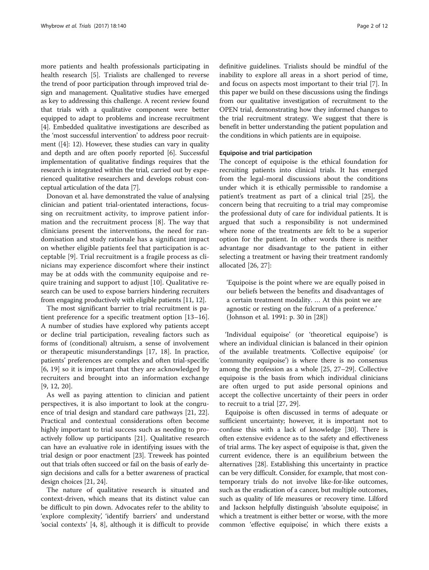more patients and health professionals participating in health research [\[5\]](#page-10-0). Trialists are challenged to reverse the trend of poor participation through improved trial design and management. Qualitative studies have emerged as key to addressing this challenge. A recent review found that trials with a qualitative component were better equipped to adapt to problems and increase recruitment [[4\]](#page-10-0). Embedded qualitative investigations are described as the 'most successful intervention' to address poor recruitment ([\[4](#page-10-0)]: 12). However, these studies can vary in quality and depth and are often poorly reported [\[6](#page-10-0)]. Successful implementation of qualitative findings requires that the research is integrated within the trial, carried out by experienced qualitative researchers and develops robust conceptual articulation of the data [[7\]](#page-10-0).

Donovan et al. have demonstrated the value of analysing clinician and patient trial-orientated interactions, focussing on recruitment activity, to improve patient information and the recruitment process [[8\]](#page-10-0). The way that clinicians present the interventions, the need for randomisation and study rationale has a significant impact on whether eligible patients feel that participation is acceptable [\[9](#page-10-0)]. Trial recruitment is a fragile process as clinicians may experience discomfort where their instinct may be at odds with the community equipoise and require training and support to adjust [\[10](#page-10-0)]. Qualitative research can be used to expose barriers hindering recruiters from engaging productively with eligible patients [\[11, 12](#page-10-0)].

The most significant barrier to trial recruitment is patient preference for a specific treatment option [[13](#page-10-0)–[16](#page-10-0)]. A number of studies have explored why patients accept or decline trial participation, revealing factors such as forms of (conditional) altruism, a sense of involvement or therapeutic misunderstandings [[17, 18\]](#page-10-0). In practice, patients' preferences are complex and often trial-specific [[6, 19](#page-10-0)] so it is important that they are acknowledged by recruiters and brought into an information exchange [[9, 12](#page-10-0), [20](#page-10-0)].

As well as paying attention to clinician and patient perspectives, it is also important to look at the congruence of trial design and standard care pathways [\[21, 22](#page-10-0)]. Practical and contextual considerations often become highly important to trial success such as needing to proactively follow up participants [[21](#page-10-0)]. Qualitative research can have an evaluative role in identifying issues with the trial design or poor enactment [\[23\]](#page-10-0). Treweek has pointed out that trials often succeed or fail on the basis of early design decisions and calls for a better awareness of practical design choices [[21, 24\]](#page-10-0).

The nature of qualitative research is situated and context-driven, which means that its distinct value can be difficult to pin down. Advocates refer to the ability to 'explore complexity', 'identify barriers' and understand 'social contexts' [\[4](#page-10-0), [8\]](#page-10-0), although it is difficult to provide definitive guidelines. Trialists should be mindful of the inability to explore all areas in a short period of time, and focus on aspects most important to their trial [[7\]](#page-10-0). In this paper we build on these discussions using the findings from our qualitative investigation of recruitment to the OPEN trial, demonstrating how they informed changes to the trial recruitment strategy. We suggest that there is benefit in better understanding the patient population and the conditions in which patients are in equipoise.

#### Equipoise and trial participation

The concept of equipoise is the ethical foundation for recruiting patients into clinical trials. It has emerged from the legal-moral discussions about the conditions under which it is ethically permissible to randomise a patient's treatment as part of a clinical trial [\[25](#page-10-0)], the concern being that recruiting to a trial may compromise the professional duty of care for individual patients. It is argued that such a responsibility is not undermined where none of the treatments are felt to be a superior option for the patient. In other words there is neither advantage nor disadvantage to the patient in either selecting a treatment or having their treatment randomly allocated [\[26, 27\]](#page-10-0):

'Equipoise is the point where we are equally poised in our beliefs between the benefits and disadvantages of a certain treatment modality. … At this point we are agnostic or resting on the fulcrum of a preference.' (Johnson et al. 1991: p. 30 in [[28\]](#page-10-0))

'Individual equipoise' (or 'theoretical equipoise') is where an individual clinician is balanced in their opinion of the available treatments. 'Collective equipoise' (or 'community equipoise') is where there is no consensus among the profession as a whole [\[25](#page-10-0), [27](#page-10-0)–[29](#page-10-0)]. Collective equipoise is the basis from which individual clinicians are often urged to put aside personal opinions and accept the collective uncertainty of their peers in order to recruit to a trial [\[27](#page-10-0), [29\]](#page-10-0).

Equipoise is often discussed in terms of adequate or sufficient uncertainty; however, it is important not to confuse this with a lack of knowledge [\[30\]](#page-10-0). There is often extensive evidence as to the safety and effectiveness of trial arms. The key aspect of equipoise is that, given the current evidence, there is an equilibrium between the alternatives [\[28\]](#page-10-0). Establishing this uncertainty in practice can be very difficult. Consider, for example, that most contemporary trials do not involve like-for-like outcomes, such as the eradication of a cancer, but multiple outcomes, such as quality of life measures or recovery time. Lilford and Jackson helpfully distinguish 'absolute equipoise', in which a treatment is either better or worse, with the more common 'effective equipoise', in which there exists a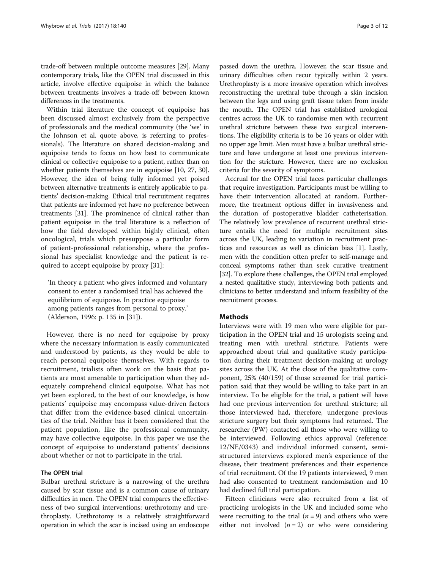trade-off between multiple outcome measures [[29](#page-10-0)]. Many contemporary trials, like the OPEN trial discussed in this article, involve effective equipoise in which the balance between treatments involves a trade-off between known differences in the treatments.

Within trial literature the concept of equipoise has been discussed almost exclusively from the perspective of professionals and the medical community (the 'we' in the Johnson et al. quote above, is referring to professionals). The literature on shared decision-making and equipoise tends to focus on how best to communicate clinical or collective equipoise to a patient, rather than on whether patients themselves are in equipoise [\[10](#page-10-0), [27](#page-10-0), [30](#page-10-0)]. However, the idea of being fully informed yet poised between alternative treatments is entirely applicable to patients' decision-making. Ethical trial recruitment requires that patients are informed yet have no preference between treatments [\[31\]](#page-10-0). The prominence of clinical rather than patient equipoise in the trial literature is a reflection of how the field developed within highly clinical, often oncological, trials which presuppose a particular form of patient-professional relationship, where the professional has specialist knowledge and the patient is required to accept equipoise by proxy [\[31](#page-10-0)]:

'In theory a patient who gives informed and voluntary consent to enter a randomised trial has achieved the equilibrium of equipoise. In practice equipoise among patients ranges from personal to proxy.' (Alderson, 1996: p. 135 in [[31\]](#page-10-0)).

However, there is no need for equipoise by proxy where the necessary information is easily communicated and understood by patients, as they would be able to reach personal equipoise themselves. With regards to recruitment, trialists often work on the basis that patients are most amenable to participation when they adequately comprehend clinical equipoise. What has not yet been explored, to the best of our knowledge, is how patients' equipoise may encompass value-driven factors that differ from the evidence-based clinical uncertainties of the trial. Neither has it been considered that the patient population, like the professional community, may have collective equipoise. In this paper we use the concept of equipoise to understand patients' decisions about whether or not to participate in the trial.

#### The OPEN trial

Bulbar urethral stricture is a narrowing of the urethra caused by scar tissue and is a common cause of urinary difficulties in men. The OPEN trial compares the effectiveness of two surgical interventions: urethrotomy and urethroplasty. Urethrotomy is a relatively straightforward operation in which the scar is incised using an endoscope

passed down the urethra. However, the scar tissue and urinary difficulties often recur typically within 2 years. Urethroplasty is a more invasive operation which involves reconstructing the urethral tube through a skin incision between the legs and using graft tissue taken from inside the mouth. The OPEN trial has established urological centres across the UK to randomise men with recurrent urethral stricture between these two surgical interventions. The eligibility criteria is to be 16 years or older with no upper age limit. Men must have a bulbar urethral stricture and have undergone at least one previous intervention for the stricture. However, there are no exclusion criteria for the severity of symptoms.

Accrual for the OPEN trial faces particular challenges that require investigation. Participants must be willing to have their intervention allocated at random. Furthermore, the treatment options differ in invasiveness and the duration of postoperative bladder catheterisation. The relatively low prevalence of recurrent urethral stricture entails the need for multiple recruitment sites across the UK, leading to variation in recruitment practices and resources as well as clinician bias [[1\]](#page-10-0). Lastly, men with the condition often prefer to self-manage and conceal symptoms rather than seek curative treatment [[32](#page-10-0)]. To explore these challenges, the OPEN trial employed a nested qualitative study, interviewing both patients and clinicians to better understand and inform feasibility of the recruitment process.

#### Methods

Interviews were with 19 men who were eligible for participation in the OPEN trial and 15 urologists seeing and treating men with urethral stricture. Patients were approached about trial and qualitative study participation during their treatment decision-making at urology sites across the UK. At the close of the qualitative component, 25% (40/159) of those screened for trial participation said that they would be willing to take part in an interview. To be eligible for the trial, a patient will have had one previous intervention for urethral stricture; all those interviewed had, therefore, undergone previous stricture surgery but their symptoms had returned. The researcher (PW) contacted all those who were willing to be interviewed. Following ethics approval (reference: 12/NE/0343) and individual informed consent, semistructured interviews explored men's experience of the disease, their treatment preferences and their experience of trial recruitment. Of the 19 patients interviewed, 9 men had also consented to treatment randomisation and 10 had declined full trial participation.

Fifteen clinicians were also recruited from a list of practicing urologists in the UK and included some who were recruiting to the trial  $(n = 9)$  and others who were either not involved  $(n = 2)$  or who were considering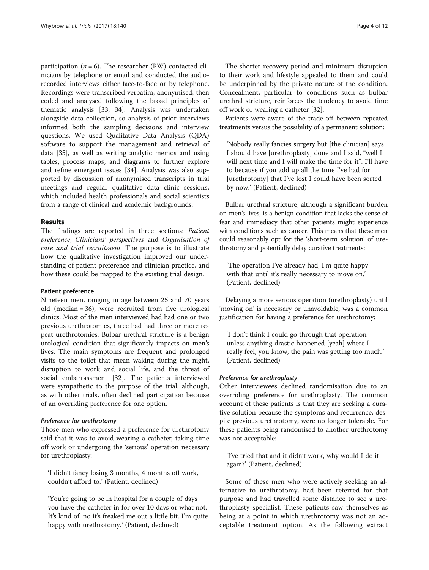participation ( $n = 6$ ). The researcher (PW) contacted clinicians by telephone or email and conducted the audiorecorded interviews either face-to-face or by telephone. Recordings were transcribed verbatim, anonymised, then coded and analysed following the broad principles of thematic analysis [[33](#page-10-0), [34](#page-10-0)]. Analysis was undertaken alongside data collection, so analysis of prior interviews informed both the sampling decisions and interview questions. We used Qualitative Data Analysis (QDA) software to support the management and retrieval of data [\[35](#page-10-0)], as well as writing analytic memos and using tables, process maps, and diagrams to further explore and refine emergent issues [\[34](#page-10-0)]. Analysis was also supported by discussion of anonymised transcripts in trial meetings and regular qualitative data clinic sessions, which included health professionals and social scientists from a range of clinical and academic backgrounds.

#### Results

The findings are reported in three sections: Patient preference, Clinicians' perspectives and Organisation of care and trial recruitment. The purpose is to illustrate how the qualitative investigation improved our understanding of patient preference and clinician practice, and how these could be mapped to the existing trial design.

#### Patient preference

Nineteen men, ranging in age between 25 and 70 years old (median = 36), were recruited from five urological clinics. Most of the men interviewed had had one or two previous urethrotomies, three had had three or more repeat urethrotomies. Bulbar urethral stricture is a benign urological condition that significantly impacts on men's lives. The main symptoms are frequent and prolonged visits to the toilet that mean waking during the night, disruption to work and social life, and the threat of social embarrassment [\[32\]](#page-10-0). The patients interviewed were sympathetic to the purpose of the trial, although, as with other trials, often declined participation because of an overriding preference for one option.

#### Preference for urethrotomy

Those men who expressed a preference for urethrotomy said that it was to avoid wearing a catheter, taking time off work or undergoing the 'serious' operation necessary for urethroplasty:

'I didn't fancy losing 3 months, 4 months off work, couldn't afford to.' (Patient, declined)

'You're going to be in hospital for a couple of days you have the catheter in for over 10 days or what not. It's kind of, no it's freaked me out a little bit. I'm quite happy with urethrotomy.' (Patient, declined)

The shorter recovery period and minimum disruption to their work and lifestyle appealed to them and could be underpinned by the private nature of the condition. Concealment, particular to conditions such as bulbar urethral stricture, reinforces the tendency to avoid time off work or wearing a catheter [\[32\]](#page-10-0).

Patients were aware of the trade-off between repeated treatments versus the possibility of a permanent solution:

'Nobody really fancies surgery but [the clinician] says I should have [urethroplasty] done and I said, "well I will next time and I will make the time for it". I'll have to because if you add up all the time I've had for [urethrotomy] that I've lost I could have been sorted by now.' (Patient, declined)

Bulbar urethral stricture, although a significant burden on men's lives, is a benign condition that lacks the sense of fear and immediacy that other patients might experience with conditions such as cancer. This means that these men could reasonably opt for the 'short-term solution' of urethrotomy and potentially delay curative treatments:

'The operation I've already had, I'm quite happy with that until it's really necessary to move on.' (Patient, declined)

Delaying a more serious operation (urethroplasty) until 'moving on' is necessary or unavoidable, was a common justification for having a preference for urethrotomy:

'I don't think I could go through that operation unless anything drastic happened [yeah] where I really feel, you know, the pain was getting too much.' (Patient, declined)

#### Preference for urethroplasty

Other interviewees declined randomisation due to an overriding preference for urethroplasty. The common account of these patients is that they are seeking a curative solution because the symptoms and recurrence, despite previous urethrotomy, were no longer tolerable. For these patients being randomised to another urethrotomy was not acceptable:

'I've tried that and it didn't work, why would I do it again?' (Patient, declined)

Some of these men who were actively seeking an alternative to urethrotomy, had been referred for that purpose and had travelled some distance to see a urethroplasty specialist. These patients saw themselves as being at a point in which urethrotomy was not an acceptable treatment option. As the following extract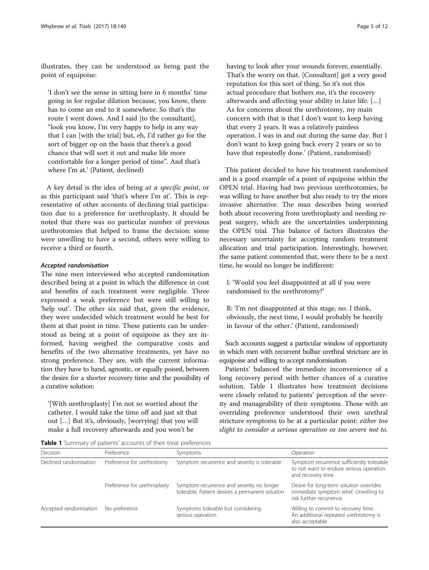<span id="page-4-0"></span>illustrates, they can be understood as being past the point of equipoise:

'I don't see the sense in sitting here in 6 months' time going in for regular dilation because, you know, there has to come an end to it somewhere. So that's the route I went down. And I said [to the consultant], "look you know, I'm very happy to help in any way that I can [with the trial] but, eh, I'd rather go for the sort of bigger op on the basis that there's a good chance that will sort it out and make life more comfortable for a longer period of time". And that's where I'm at.' (Patient, declined)

A key detail is the idea of being at a specific point, or as this participant said 'that's where I'm at'. This is representative of other accounts of declining trial participation due to a preference for urethroplasty. It should be noted that there was no particular number of previous urethrotomies that helped to frame the decision: some were unwilling to have a second, others were willing to receive a third or fourth.

#### Accepted randomisation

The nine men interviewed who accepted randomisation described being at a point in which the difference in cost and benefits of each treatment were negligible. Three expressed a weak preference but were still willing to 'help out'. The other six said that, given the evidence, they were undecided which treatment would be best for them at that point in time. These patients can be understood as being at a point of equipoise as they are informed, having weighed the comparative costs and benefits of the two alternative treatments, yet have no strong preference. They are, with the current information they have to hand, agnostic, or equally poised, between the desire for a shorter recovery time and the possibility of a curative solution:

'[With urethroplasty] I'm not so worried about the catheter. I would take the time off and just sit that out […] But it's, obviously, [worrying] that you will make a full recovery afterwards and you won't be

having to look after your wounds forever, essentially. That's the worry on that. [Consultant] got a very good reputation for this sort of thing. So it's not this actual procedure that bothers me, it's the recovery afterwards and affecting your ability in later life. […] As for concerns about the urethrotomy, my main concern with that is that I don't want to keep having that every 2 years. It was a relatively painless operation. I was in and out during the same day. But I don't want to keep going back every 2 years or so to have that repeatedly done.' (Patient, randomised)

This patient decided to have his treatment randomised and is a good example of a point of equipoise within the OPEN trial. Having had two previous urethrotomies, he was willing to have another but also ready to try the more invasive alternative. The man describes being worried both about recovering from urethroplasty and needing repeat surgery, which are the uncertainties underpinning the OPEN trial. This balance of factors illustrates the necessary uncertainty for accepting random treatment allocation and trial participation. Interestingly, however, the same patient commented that, were there to be a next time, he would no longer be indifferent:

I: 'Would you feel disappointed at all if you were randomised to the urethrotomy?'

R: 'I'm not disappointed at this stage, no. I think, obviously, the next time, I would probably be heavily in favour of the other.' (Patient, randomised)

Such accounts suggest a particular window of opportunity in which men with recurrent bulbar urethral stricture are in equipoise and willing to accept randomisation.

Patients' balanced the immediate inconvenience of a long recovery period with better chances of a curative solution. Table 1 illustrates how treatment decisions were closely related to patients' perception of the severity and manageability of their symptoms. Those with an overriding preference understood their own urethral stricture symptoms to be at a particular point: either too slight to consider a serious operation or too severe not to.

Table 1 Summary of patients' accounts of their treat preferences

| Decision               | Preference                   | Symptoms                                                                                     | Operation                                                                                                    |
|------------------------|------------------------------|----------------------------------------------------------------------------------------------|--------------------------------------------------------------------------------------------------------------|
| Declined randomisation | Preference for urethrotomy   | Symptom recurrence and severity is tolerable                                                 | Symptom recurrence sufficiently tolerable<br>to not want to endure serious operation<br>and recovery time    |
|                        | Preference for urethroplasty | Symptom recurrence and severity no longer<br>tolerable. Patient desires a permanent solution | Desire for long-term solution overrides<br>immediate symptom relief. Unwilling to<br>risk further recurrence |
| Accepted randomisation | No preference                | Symptoms tolerable but considering<br>serious operation                                      | Willing to commit to recovery time.<br>An additional repeated urethrotomy is<br>also acceptable              |
|                        |                              |                                                                                              |                                                                                                              |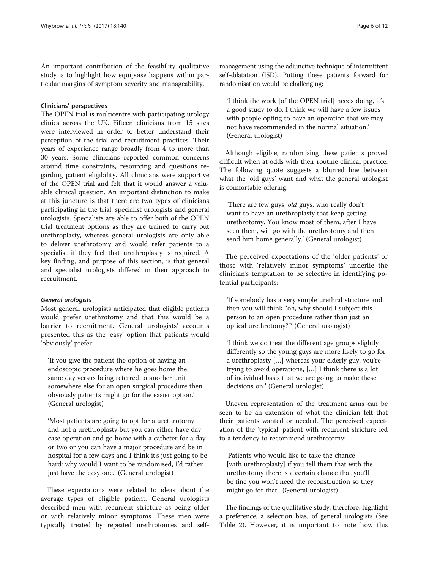An important contribution of the feasibility qualitative study is to highlight how equipoise happens within particular margins of symptom severity and manageability.

#### Clinicians' perspectives

The OPEN trial is multicentre with participating urology clinics across the UK. Fifteen clinicians from 15 sites were interviewed in order to better understand their perception of the trial and recruitment practices. Their years of experience range broadly from 4 to more than 30 years. Some clinicians reported common concerns around time constraints, resourcing and questions regarding patient eligibility. All clinicians were supportive of the OPEN trial and felt that it would answer a valuable clinical question. An important distinction to make at this juncture is that there are two types of clinicians participating in the trial: specialist urologists and general urologists. Specialists are able to offer both of the OPEN trial treatment options as they are trained to carry out urethroplasty, whereas general urologists are only able to deliver urethrotomy and would refer patients to a specialist if they feel that urethroplasty is required. A key finding, and purpose of this section, is that general and specialist urologists differed in their approach to recruitment.

#### General urologists

Most general urologists anticipated that eligible patients would prefer urethrotomy and that this would be a barrier to recruitment. General urologists' accounts presented this as the 'easy' option that patients would 'obviously' prefer:

'If you give the patient the option of having an endoscopic procedure where he goes home the same day versus being referred to another unit somewhere else for an open surgical procedure then obviously patients might go for the easier option.' (General urologist)

'Most patients are going to opt for a urethrotomy and not a urethroplasty but you can either have day case operation and go home with a catheter for a day or two or you can have a major procedure and be in hospital for a few days and I think it's just going to be hard: why would I want to be randomised, I'd rather just have the easy one.' (General urologist)

These expectations were related to ideas about the average types of eligible patient. General urologists described men with recurrent stricture as being older or with relatively minor symptoms. These men were typically treated by repeated urethrotomies and selfmanagement using the adjunctive technique of intermittent self-dilatation (ISD). Putting these patients forward for randomisation would be challenging:

'I think the work [of the OPEN trial] needs doing, it's a good study to do. I think we will have a few issues with people opting to have an operation that we may not have recommended in the normal situation.' (General urologist)

Although eligible, randomising these patients proved difficult when at odds with their routine clinical practice. The following quote suggests a blurred line between what the 'old guys' want and what the general urologist is comfortable offering:

'There are few guys, old guys, who really don't want to have an urethroplasty that keep getting urethrotomy. You know most of them, after I have seen them, will go with the urethrotomy and then send him home generally.' (General urologist)

The perceived expectations of the 'older patients' or those with 'relatively minor symptoms' underlie the clinician's temptation to be selective in identifying potential participants:

'If somebody has a very simple urethral stricture and then you will think "oh, why should I subject this person to an open procedure rather than just an optical urethrotomy?"' (General urologist)

'I think we do treat the different age groups slightly differently so the young guys are more likely to go for a urethroplasty […] whereas your elderly guy, you're trying to avoid operations, […] I think there is a lot of individual basis that we are going to make these decisions on.' (General urologist)

Uneven representation of the treatment arms can be seen to be an extension of what the clinician felt that their patients wanted or needed. The perceived expectation of the 'typical' patient with recurrent stricture led to a tendency to recommend urethrotomy:

'Patients who would like to take the chance [with urethroplasty] if you tell them that with the urethrotomy there is a certain chance that you'll be fine you won't need the reconstruction so they might go for that'. (General urologist)

The findings of the qualitative study, therefore, highlight a preference, a selection bias, of general urologists (See Table [2](#page-6-0)). However, it is important to note how this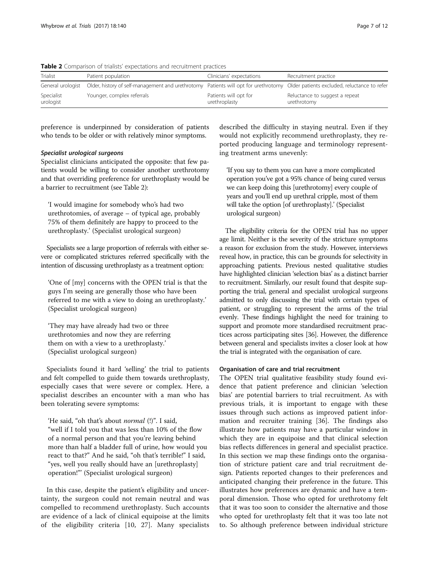| Trialist                | Patient population                                | Clinicians' expectations               | Recruitment practice                                                           |
|-------------------------|---------------------------------------------------|----------------------------------------|--------------------------------------------------------------------------------|
| General urologist       | Older, history of self-management and urethrotomy |                                        | Patients will opt for urethrotomy Older patients excluded, reluctance to refer |
| Specialist<br>urologist | Younger, complex referrals                        | Patients will opt for<br>urethroplasty | Reluctance to suggest a repeat<br>urethrotomy                                  |

<span id="page-6-0"></span>Table 2 Comparison of trialists' expectations and recruitment practices

preference is underpinned by consideration of patients who tends to be older or with relatively minor symptoms.

#### Specialist urological surgeons

Specialist clinicians anticipated the opposite: that few patients would be willing to consider another urethrotomy and that overriding preference for urethroplasty would be a barrier to recruitment (see Table 2):

'I would imagine for somebody who's had two urethrotomies, of average – of typical age, probably 75% of them definitely are happy to proceed to the urethroplasty.' (Specialist urological surgeon)

Specialists see a large proportion of referrals with either severe or complicated strictures referred specifically with the intention of discussing urethroplasty as a treatment option:

'One of [my] concerns with the OPEN trial is that the guys I'm seeing are generally those who have been referred to me with a view to doing an urethroplasty.' (Specialist urological surgeon)

'They may have already had two or three urethrotomies and now they are referring them on with a view to a urethroplasty.' (Specialist urological surgeon)

Specialists found it hard 'selling' the trial to patients and felt compelled to guide them towards urethroplasty, especially cases that were severe or complex. Here, a specialist describes an encounter with a man who has been tolerating severe symptoms:

'He said, "oh that's about normal (!)". I said, "well if I told you that was less than 10% of the flow of a normal person and that you're leaving behind more than half a bladder full of urine, how would you react to that?" And he said, "oh that's terrible!" I said, "yes, well you really should have an [urethroplasty] operation!"' (Specialist urological surgeon)

In this case, despite the patient's eligibility and uncertainty, the surgeon could not remain neutral and was compelled to recommend urethroplasty. Such accounts are evidence of a lack of clinical equipoise at the limits of the eligibility criteria [[10, 27\]](#page-10-0). Many specialists

described the difficulty in staying neutral. Even if they would not explicitly recommend urethroplasty, they reported producing language and terminology representing treatment arms unevenly:

'If you say to them you can have a more complicated operation you've got a 95% chance of being cured versus we can keep doing this [urethrotomy] every couple of years and you'll end up urethral cripple, most of them will take the option [of urethroplasty].' (Specialist urological surgeon)

The eligibility criteria for the OPEN trial has no upper age limit. Neither is the severity of the stricture symptoms a reason for exclusion from the study. However, interviews reveal how, in practice, this can be grounds for selectivity in approaching patients. Previous nested qualitative studies have highlighted clinician 'selection bias' as a distinct barrier to recruitment. Similarly, our result found that despite supporting the trial, general and specialist urological surgeons admitted to only discussing the trial with certain types of patient, or struggling to represent the arms of the trial evenly. These findings highlight the need for training to support and promote more standardised recruitment practices across participating sites [\[36\]](#page-10-0). However, the difference between general and specialists invites a closer look at how the trial is integrated with the organisation of care.

#### Organisation of care and trial recruitment

The OPEN trial qualitative feasibility study found evidence that patient preference and clinician 'selection bias' are potential barriers to trial recruitment. As with previous trials, it is important to engage with these issues through such actions as improved patient information and recruiter training [[36\]](#page-10-0). The findings also illustrate how patients may have a particular window in which they are in equipoise and that clinical selection bias reflects differences in general and specialist practice. In this section we map these findings onto the organisation of stricture patient care and trial recruitment design. Patients reported changes to their preferences and anticipated changing their preference in the future. This illustrates how preferences are dynamic and have a temporal dimension. Those who opted for urethrotomy felt that it was too soon to consider the alternative and those who opted for urethroplasty felt that it was too late not to. So although preference between individual stricture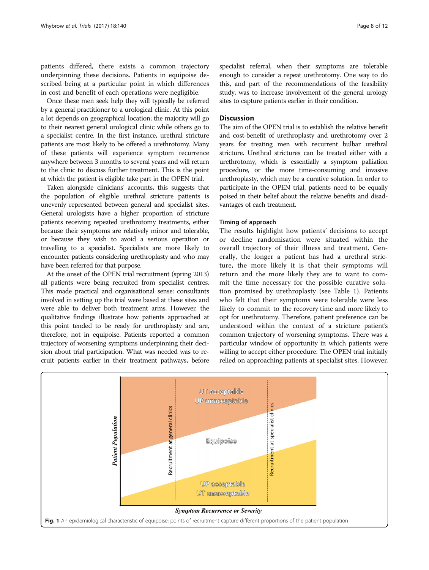<span id="page-7-0"></span>patients differed, there exists a common trajectory underpinning these decisions. Patients in equipoise described being at a particular point in which differences in cost and benefit of each operations were negligible.

Once these men seek help they will typically be referred by a general practitioner to a urological clinic. At this point a lot depends on geographical location; the majority will go to their nearest general urological clinic while others go to a specialist centre. In the first instance, urethral stricture patients are most likely to be offered a urethrotomy. Many of these patients will experience symptom recurrence anywhere between 3 months to several years and will return to the clinic to discuss further treatment. This is the point at which the patient is eligible take part in the OPEN trial.

Taken alongside clinicians' accounts, this suggests that the population of eligible urethral stricture patients is unevenly represented between general and specialist sites. General urologists have a higher proportion of stricture patients receiving repeated urethrotomy treatments, either because their symptoms are relatively minor and tolerable, or because they wish to avoid a serious operation or travelling to a specialist. Specialists are more likely to encounter patients considering urethroplasty and who may have been referred for that purpose.

At the onset of the OPEN trial recruitment (spring 2013) all patients were being recruited from specialist centres. This made practical and organisational sense: consultants involved in setting up the trial were based at these sites and were able to deliver both treatment arms. However, the qualitative findings illustrate how patients approached at this point tended to be ready for urethroplasty and are, therefore, not in equipoise. Patients reported a common trajectory of worsening symptoms underpinning their decision about trial participation. What was needed was to recruit patients earlier in their treatment pathways, before specialist referral, when their symptoms are tolerable enough to consider a repeat urethrotomy. One way to do this, and part of the recommendations of the feasibility study, was to increase involvement of the general urology sites to capture patients earlier in their condition.

#### **Discussion**

The aim of the OPEN trial is to establish the relative benefit and cost-benefit of urethroplasty and urethrotomy over 2 years for treating men with recurrent bulbar urethral stricture. Urethral strictures can be treated either with a urethrotomy, which is essentially a symptom palliation procedure, or the more time-consuming and invasive urethroplasty, which may be a curative solution. In order to participate in the OPEN trial, patients need to be equally poised in their belief about the relative benefits and disadvantages of each treatment.

#### Timing of approach

The results highlight how patients' decisions to accept or decline randomisation were situated within the overall trajectory of their illness and treatment. Generally, the longer a patient has had a urethral stricture, the more likely it is that their symptoms will return and the more likely they are to want to commit the time necessary for the possible curative solution promised by urethroplasty (see Table [1](#page-4-0)). Patients who felt that their symptoms were tolerable were less likely to commit to the recovery time and more likely to opt for urethrotomy. Therefore, patient preference can be understood within the context of a stricture patient's common trajectory of worsening symptoms. There was a particular window of opportunity in which patients were willing to accept either procedure. The OPEN trial initially relied on approaching patients at specialist sites. However,

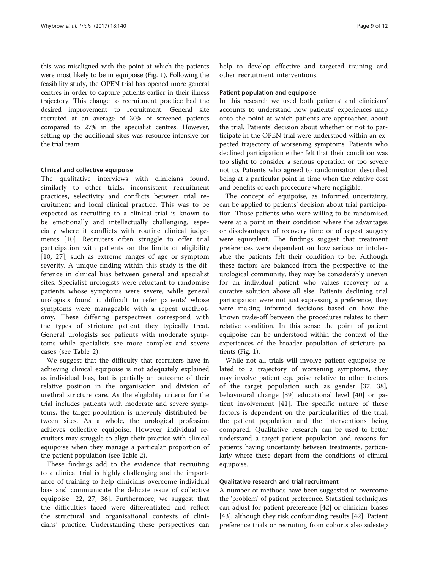this was misaligned with the point at which the patients were most likely to be in equipoise (Fig. [1](#page-7-0)). Following the feasibility study, the OPEN trial has opened more general centres in order to capture patients earlier in their illness trajectory. This change to recruitment practice had the desired improvement to recruitment. General site recruited at an average of 30% of screened patients compared to 27% in the specialist centres. However, setting up the additional sites was resource-intensive for the trial team.

#### Clinical and collective equipoise

The qualitative interviews with clinicians found, similarly to other trials, inconsistent recruitment practices, selectivity and conflicts between trial recruitment and local clinical practice. This was to be expected as recruiting to a clinical trial is known to be emotionally and intellectually challenging, especially where it conflicts with routine clinical judgements [\[10](#page-10-0)]. Recruiters often struggle to offer trial participation with patients on the limits of eligibility [[10](#page-10-0), [27](#page-10-0)], such as extreme ranges of age or symptom severity. A unique finding within this study is the difference in clinical bias between general and specialist sites. Specialist urologists were reluctant to randomise patients whose symptoms were severe, while general urologists found it difficult to refer patients' whose symptoms were manageable with a repeat urethrotomy. These differing perspectives correspond with the types of stricture patient they typically treat. General urologists see patients with moderate symptoms while specialists see more complex and severe cases (see Table [2](#page-6-0)).

We suggest that the difficulty that recruiters have in achieving clinical equipoise is not adequately explained as individual bias, but is partially an outcome of their relative position in the organisation and division of urethral stricture care. As the eligibility criteria for the trial includes patients with moderate and severe symptoms, the target population is unevenly distributed between sites. As a whole, the urological profession achieves collective equipoise. However, individual recruiters may struggle to align their practice with clinical equipoise when they manage a particular proportion of the patient population (see Table [2\)](#page-6-0).

These findings add to the evidence that recruiting to a clinical trial is highly challenging and the importance of training to help clinicians overcome individual bias and communicate the delicate issue of collective equipoise [[22, 27](#page-10-0), [36\]](#page-10-0). Furthermore, we suggest that the difficulties faced were differentiated and reflect the structural and organisational contexts of clinicians' practice. Understanding these perspectives can help to develop effective and targeted training and other recruitment interventions.

#### Patient population and equipoise

In this research we used both patients' and clinicians' accounts to understand how patients' experiences map onto the point at which patients are approached about the trial. Patients' decision about whether or not to participate in the OPEN trial were understood within an expected trajectory of worsening symptoms. Patients who declined participation either felt that their condition was too slight to consider a serious operation or too severe not to. Patients who agreed to randomisation described being at a particular point in time when the relative cost and benefits of each procedure where negligible.

The concept of equipoise, as informed uncertainty, can be applied to patients' decision about trial participation. Those patients who were willing to be randomised were at a point in their condition where the advantages or disadvantages of recovery time or of repeat surgery were equivalent. The findings suggest that treatment preferences were dependent on how serious or intolerable the patients felt their condition to be. Although these factors are balanced from the perspective of the urological community, they may be considerably uneven for an individual patient who values recovery or a curative solution above all else. Patients declining trial participation were not just expressing a preference, they were making informed decisions based on how the known trade-off between the procedures relates to their relative condition. In this sense the point of patient equipoise can be understood within the context of the experiences of the broader population of stricture patients (Fig. [1\)](#page-7-0).

While not all trials will involve patient equipoise related to a trajectory of worsening symptoms, they may involve patient equipoise relative to other factors of the target population such as gender [[37, 38](#page-10-0)], behavioural change [\[39](#page-10-0)] educational level [\[40](#page-10-0)] or patient involvement [[41\]](#page-10-0). The specific nature of these factors is dependent on the particularities of the trial, the patient population and the interventions being compared. Qualitative research can be used to better understand a target patient population and reasons for patients having uncertainty between treatments, particularly where these depart from the conditions of clinical equipoise.

#### Qualitative research and trial recruitment

A number of methods have been suggested to overcome the 'problem' of patient preference. Statistical techniques can adjust for patient preference [\[42](#page-11-0)] or clinician biases [[43\]](#page-11-0), although they risk confounding results [[42](#page-11-0)]. Patient preference trials or recruiting from cohorts also sidestep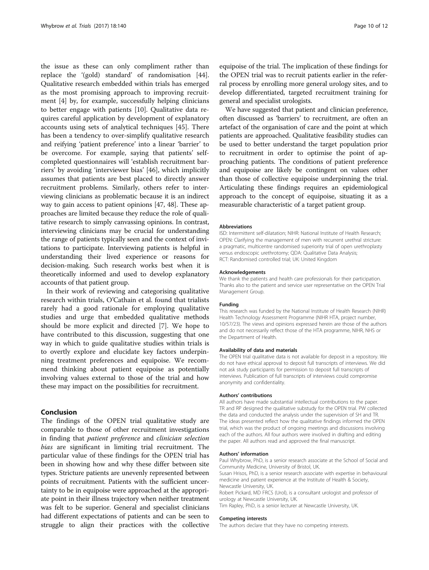the issue as these can only compliment rather than replace the '(gold) standard' of randomisation [\[44](#page-11-0)]. Qualitative research embedded within trials has emerged as the most promising approach to improving recruitment [[4\]](#page-10-0) by, for example, successfully helping clinicians to better engage with patients [[10\]](#page-10-0). Qualitative data requires careful application by development of explanatory accounts using sets of analytical techniques [\[45\]](#page-11-0). There has been a tendency to over-simplify qualitative research and reifying 'patient preference' into a linear 'barrier' to be overcome. For example, saying that patients' selfcompleted questionnaires will 'establish recruitment barriers' by avoiding 'interviewer bias' [\[46](#page-11-0)], which implicitly assumes that patients are best placed to directly answer recruitment problems. Similarly, others refer to interviewing clinicians as problematic because it is an indirect way to gain access to patient opinions [\[47](#page-11-0), [48\]](#page-11-0). These approaches are limited because they reduce the role of qualitative research to simply canvassing opinions. In contrast, interviewing clinicians may be crucial for understanding the range of patients typically seen and the context of invitations to participate. Interviewing patients is helpful in understanding their lived experience or reasons for decision-making. Such research works best when it is theoretically informed and used to develop explanatory accounts of that patient group.

In their work of reviewing and categorising qualitative research within trials, O'Cathain et al. found that trialists rarely had a good rationale for employing qualitative studies and urge that embedded qualitative methods should be more explicit and directed [[7\]](#page-10-0). We hope to have contributed to this discussion, suggesting that one way in which to guide qualitative studies within trials is to overtly explore and elucidate key factors underpinning treatment preferences and equipoise. We recommend thinking about patient equipoise as potentially involving values external to those of the trial and how these may impact on the possibilities for recruitment.

#### Conclusion

The findings of the OPEN trial qualitative study are comparable to those of other recruitment investigations in finding that patient preference and clinician selection bias are significant in limiting trial recruitment. The particular value of these findings for the OPEN trial has been in showing how and why these differ between site types. Stricture patients are unevenly represented between points of recruitment. Patients with the sufficient uncertainty to be in equipoise were approached at the appropriate point in their illness trajectory when neither treatment was felt to be superior. General and specialist clinicians had different expectations of patients and can be seen to struggle to align their practices with the collective

equipoise of the trial. The implication of these findings for the OPEN trial was to recruit patients earlier in the referral process by enrolling more general urology sites, and to develop differentiated, targeted recruitment training for general and specialist urologists.

We have suggested that patient and clinician preference, often discussed as 'barriers' to recruitment, are often an artefact of the organisation of care and the point at which patients are approached. Qualitative feasibility studies can be used to better understand the target population prior to recruitment in order to optimise the point of approaching patients. The conditions of patient preference and equipoise are likely be contingent on values other than those of collective equipoise underpinning the trial. Articulating these findings requires an epidemiological approach to the concept of equipoise, situating it as a measurable characteristic of a target patient group.

#### Abbreviations

ISD: Intermittent self-dilatation; NIHR: National Institute of Health Research; OPEN: Clarifying the management of men with recurrent urethral stricture: a pragmatic, multicentre randomised superiority trial of open urethroplasty versus endoscopic urethrotomy; QDA: Qualitative Data Analysis; RCT: Randomised controlled trial; UK: United Kingdom

#### Acknowledgements

We thank the patients and health care professionals for their participation. Thanks also to the patient and service user representative on the OPEN Trial Management Group.

#### Funding

This research was funded by the National Institute of Health Research (NIHR) Health Technology Assessment Programme (NIHR HTA, project number, 10/57/23). The views and opinions expressed herein are those of the authors and do not necessarily reflect those of the HTA programme, NIHR, NHS or the Department of Health.

#### Availability of data and materials

The OPEN trial qualitative data is not available for deposit in a repository. We do not have ethical approval to deposit full transcripts of interviews. We did not ask study participants for permission to deposit full transcripts of interviews. Publication of full transcripts of interviews could compromise anonymity and confidentiality.

#### Authors' contributions

All authors have made substantial intellectual contributions to the paper. TR and RP designed the qualitative substudy for the OPEN trial. PW collected the data and conducted the analysis under the supervision of SH and TR. The ideas presented reflect how the qualitative findings informed the OPEN trial, which was the product of ongoing meetings and discussions involving each of the authors. All four authors were involved in drafting and editing the paper. All authors read and approved the final manuscript.

#### Authors' information

Paul Whybrow, PhD, is a senior research associate at the School of Social and Community Medicine, University of Bristol, UK.

Susan Hrisos, PhD, is a senior research associate with expertise in behavioural medicine and patient experience at the Institute of Health & Society, Newcastle University, UK.

Robert Pickard, MD FRCS (Urol), is a consultant urologist and professor of urology at Newcastle University, UK.

Tim Rapley, PhD, is a senior lecturer at Newcastle University, UK.

#### Competing interests

The authors declare that they have no competing interests.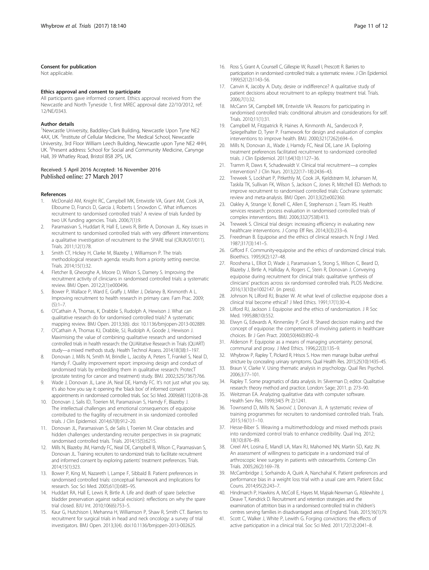#### <span id="page-10-0"></span>Consent for publication

Not applicable.

#### Ethics approval and consent to participate

All participants gave informed consent. Ethics approval received from the Newcastle and North Tyneside 1, first MREC approval date 22/10/2012, ref: 12/NE/0343.

#### Author details

<sup>1</sup>Newcastle University, Baddiley-Clark Building, Newcastle Upon Tyne NE2 4AX, UK. <sup>2</sup>Institute of Cellular Medicine, The Medical School, Newcastle University, 3rd Floor William Leech Building, Newcastle upon Tyne NE2 4HH, UK. <sup>3</sup>Present address: School for Social and Community Medicine, Canynge Hall, 39 Whatley Road, Bristol BS8 2PS, UK.

#### Received: 5 April 2016 Accepted: 16 November 2016 Published online: 27 March 2017

#### References

- 1. McDonald AM, Knight RC, Campbell MK, Entwistle VA, Grant AM, Cook JA, Elbourne D, Francis D, Garcia J, Roberts I, Snowdon C. What influences recruitment to randomised controlled trials? A review of trials funded by two UK funding agencies. Trials. 2006;7(1):9.
- 2. Paramasivan S, Huddart R, Hall E, Lewis R, Birtle A, Donovan JL. Key issues in recruitment to randomised controlled trials with very different interventions: a qualitative investigation of recruitment to the SPARE trial (CRUK/07/011). Trials. 2011;12(1):78.
- 3. Smith CT, Hickey H, Clarke M, Blazeby J, Williamson P. The trials methodological research agenda: results from a priority setting exercise. Trials. 2014;15(1):32.
- 4. Fletcher B, Gheorghe A, Moore D, Wilson S, Damery S. Improving the recruitment activity of clinicians in randomised controlled trials: a systematic review. BMJ Open. 2012;2(1):e000496.
- 5. Bower P, Wallace P, Ward E, Graffy J, Miller J, Delaney B, Kinmonth A L. Improving recruitment to health research in primary care. Fam Prac. 2009;  $(5):1-7.$
- 6. O'Cathain A, Thomas, K, Drabble S, Rudolph A, Hewison J. What can qualitative research do for randomised controlled trials? A systematic mapping review. BMJ Open. 2013;3(6). doi: [10.1136/bmjopen-2013-002889.](http://dx.doi.org/10.1136/bmjopen-2013-002889)
- 7. O'Cathain A, Thomas KJ, Drabble, SJ, Rudolph A, Goode J, Hewison J. Maximising the value of combining qualitative research and randomised controlled trials in health research: the QUAlitative Research in Trials (QUART) study—a mixed methods study. Health Technol Assess. 2014;18(38):1–197.
- 8. Donovan J, Mills N, Smith M, Brindle L, Jacoby A, Peters T, Frankel S, Neal D, Hamdy F. Quality improvement report: improving design and conduct of randomised trials by embedding them in qualitative research: ProtecT (prostate testing for cancer and treatment) study. BMJ. 2002;325(7367):766.
- 9. Wade J, Donovan JL, Lane JA, Neal DE, Hamdy FC. It's not just what you say, it's also how you say it: opening the 'black box' of informed consent appointments in randomised controlled trials. Soc Sci Med. 2009;68(11):2018–28.
- 10. Donovan J, Salis ID, Toerien M, Paramasivan S, Hamdy F, Blazeby J. The intellectual challenges and emotional consequences of equipoise contributed to the fragility of recruitment in six randomized controlled trials. J Clin Epidemiol. 2014;67(8):912–20.
- 11. Donovan JL, Paramasivan S, de Salis I, Toerien M. Clear obstacles and hidden challenges: understanding recruiter perspectives in six pragmatic randomised controlled trials. Trials. 2014;15(5):6215.
- 12. Mills N, Blazeby JM, Hamdy FC, Neal DE, Campbell B, Wilson C, Paramasivan S, Donovan JL. Training recruiters to randomized trials to facilitate recruitment and informed consent by exploring patients' treatment preferences. Trials. 2014;15(1):323.
- 13. Bower P, King M, Nazareth I, Lampe F, Sibbald B. Patient preferences in randomised controlled trials: conceptual framework and implications for research. Soc Sci Med. 2005;61(3):685–95.
- 14. Huddart RA, Hall E, Lewis R, Birtle A. Life and death of spare (selective bladder preservation against radical excision): reflections on why the spare trial closed. BJU Int. 2010;106(6):753–5.
- 15. Kaur G, Hutchison I, Mehanna H, Williamson P, Shaw R, Smith CT. Barriers to recruitment for surgical trials in head and neck oncology: a survey of trial investigators. BMJ Open. 2013;3(4). doi:[10.1136/bmjopen-2013-002625.](http://dx.doi.org/10.1136/bmjopen-2013-002625)
- 16. Ross S, Grant A, Counsell C, Gillespie W, Russell I, Prescott R. Barriers to participation in randomised controlled trials: a systematic review. J Clin Epidemiol. 1999;52(12):1143–56.
- 17. Canvin K, Jacoby A. Duty, desire or indifference? A qualitative study of patient decisions about recruitment to an epilepsy treatment trial. Trials. 2006;7(1):32.
- 18. McCann SK, Campbell MK, Entwistle VA. Reasons for participating in randomised controlled trials: conditional altruism and considerations for self. Trials. 2010;11(1):31.
- 19. Campbell M, Fitzpatrick R, Haines A, Kinmonth AL, Sandercock P, Spiegelhalter D, Tyrer P. Framework for design and evaluation of complex interventions to improve health. BMJ. 2000;321(7262):694–6.
- 20. Mills N, Donovan JL, Wade J, Hamdy FC, Neal DE, Lane JA. Exploring treatment preferences facilitated recruitment to randomized controlled trials. J Clin Epidemiol. 2011;64(10):1127–36.
- 21. Tramm R, Daws K, Schadewaldt V. Clinical trial recruitment—a complex intervention? J Clin Nurs. 2013;22(17–18):2436–43.
- 22. Treweek S, Lockhart P, Pitkethly M, Cook JA, Kjeldstrøm M, Johansen M, Taskila TK, Sullivan FK, Wilson S, Jackson C, Jones R, Mitchell ED. Methods to improve recruitment to randomised controlled trials: Cochrane systematic review and meta-analysis. BMJ Open. 2013;3(2):e002360.
- 23. Oakley A, Strange V, Bonell C, Allen E, Stephenson J, Team RS. Health services research: process evaluation in randomised controlled trials of complex interventions. BMJ. 2006;332(7538):413.
- Treweek S. Clinical trial design: increasing efficiency in evaluating new healthcare interventions. J Comp Eff Res. 2014;3(3):233–6.
- 25. Freedman B. Equipoise and the ethics of clinical research. N Engl J Med. 1987;317(3):141–5.
- 26. Gifford F. Community-equipoise and the ethics of randomized clinical trials. Bioethics. 1995;9(2):127–48.
- 27. Rooshena L, Elliot D, Wade J, Paramasivan S, Stong S, Wilson C, Beard D, Blazeby J, Birtle A, Halliday A, Rogers C, Stein R, Donovan J. Conveying equipoise during recruitment for clinical trials: qualitative synthesis of clinicians' practices across six randomised controlled trials. PLOS Medicine. 2016;13(10):e1002147. (in press).
- 28. Johnson N, Lilford RJ, Brazier W. At what level of collective equipoise does a clinical trial become ethical? J Med Ethics. 1991;17(1):30–4.
- 29. Lilford RJ, Jackson J. Equipoise and the ethics of randomization. J R Soc Med. 1995;88(10):552.
- 30. Elwyn G, Edwards A, Kinnersley P, Grol R. Shared decision making and the concept of equipoise: the competences of involving patients in healthcare choices. Br J Gen Pract. 2000;50(460):892–9.
- 31. Alderson P. Equipoise as a means of managing uncertainty: personal, communal and proxy. J Med Ethics. 1996;22(3):135–9.
- 32. Whybrow P, Rapley T, Pickard R, Hrisos S. How men manage bulbar urethral stricture by concealing urinary symptoms. Qual Health Res. 2015;25(10):1435–45.
- Braun V, Clarke V. Using thematic analysis in psychology. Qual Res Psychol. 2006;3:77–101.
- 34. Rapley T. Some pragmatics of data analysis. In: Silverman D, editor. Qualitative research: theory method and practice. London: Sage; 2011. p. 273–90.
- 35. Weitzman EA. Analyzing qualitative data with computer software. Health Serv Res. 1999;34(5 Pt 2):1241.
- 36. Townsend D, Mills N, Savović J, Donovan JL. A systematic review of training programmes for recruiters to randomised controlled trials. Trials. 2015;16(1):1–10.
- 37. Hesse-Biber S. Weaving a multimethodology and mixed methods praxis into randomized control trials to enhance credibility. Qual Inq. 2012; 18(10):876–89.
- 38. Creel AH, Losina E, Mandl LA, Marx RJ, Mahomed NN, Martin SD, Katz JN. An assessment of willingness to participate in a randomized trial of arthroscopic knee surgery in patients with osteoarthritis. Contemp Clin Trials. 2005;26(2):169–78.
- 39. McCambridge J, Sorhaindo A, Quirk A, Nanchahal K. Patient preferences and performance bias in a weight loss trial with a usual care arm. Patient Educ Couns. 2014;95(2):243–7.
- 40. Hindmarch P, Hawkins A, McColl E, Hayes M, Majsak-Newman G, Ablewhite J, Deave T, Kendrick D. Recruitment and retention strategies and the examination of attrition bias in a randomised controlled trial in children's centres serving families in disadvantaged areas of England. Trials. 2015;16(1):79.
- 41. Scott C, Walker J, White P, Lewith G. Forging convictions: the effects of active participation in a clinical trial. Soc Sci Med. 2011;72(12):2041–8.